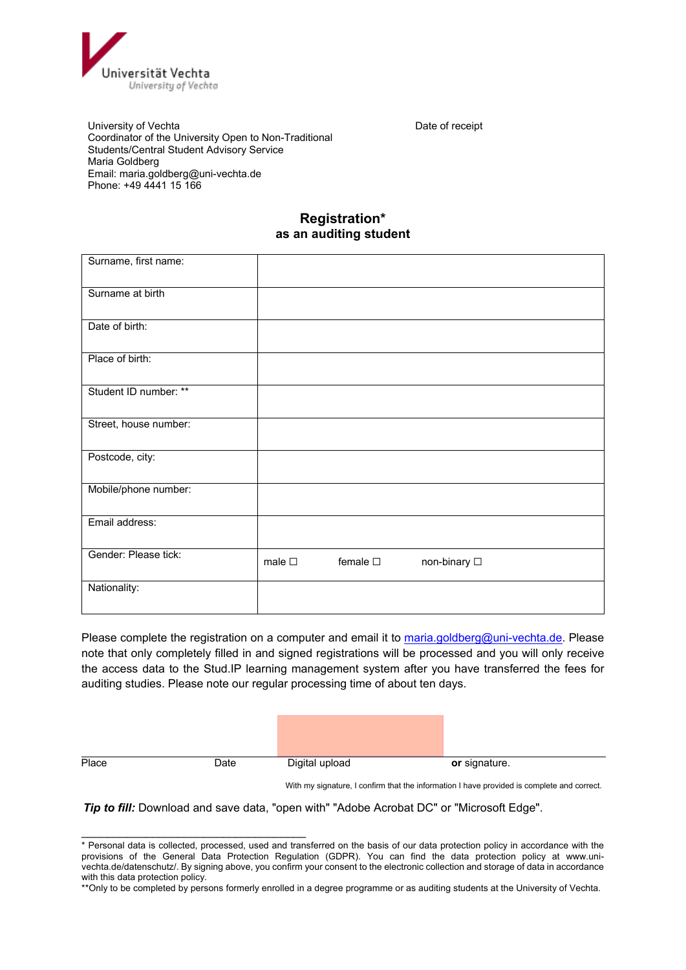

University of Vechta **Date of The Contract of Security** Date of receipt Coordinator of the University Open to Non-Traditional Students/Central Student Advisory Service Maria Goldberg Email: maria.goldberg@uni-vechta.de Phone: +49 4441 15 166

#### **Registration\* as an auditing student**

| Surname, first name:  |                |                  |              |
|-----------------------|----------------|------------------|--------------|
| Surname at birth      |                |                  |              |
| Date of birth:        |                |                  |              |
| Place of birth:       |                |                  |              |
| Student ID number: ** |                |                  |              |
| Street, house number: |                |                  |              |
| Postcode, city:       |                |                  |              |
| Mobile/phone number:  |                |                  |              |
| Email address:        |                |                  |              |
| Gender: Please tick:  | male $\square$ | female $\square$ | non-binary □ |
| Nationality:          |                |                  |              |

Please complete the registration on a computer and email it to [maria.goldberg@uni-vechta.de.](mailto:maria.goldberg@uni-vechta.de) Please note that only completely filled in and signed registrations will be processed and you will only receive the access data to the Stud.IP learning management system after you have transferred the fees for auditing studies. Please note our regular processing time of about ten days.

\_\_\_\_\_\_\_\_\_\_\_\_\_\_\_\_\_\_\_\_\_\_\_\_\_\_\_\_\_\_\_\_\_\_\_

Place **Date** Digital upload **or signature.** 

With my signature, I confirm that the information I have provided is complete and correct.

**Tip to fill:** Download and save data, "open with" "Adobe Acrobat DC" or "Microsoft Edge".

<sup>\*</sup> Personal data is collected, processed, used and transferred on the basis of our data protection policy in accordance with the provisions of the General Data Protection Regulation (GDPR). You can find the data protection policy at www.univechta.de/datenschutz/. By signing above, you confirm your consent to the electronic collection and storage of data in accordance with this data protection policy.

<sup>\*\*</sup>Only to be completed by persons formerly enrolled in a degree programme or as auditing students at the University of Vechta.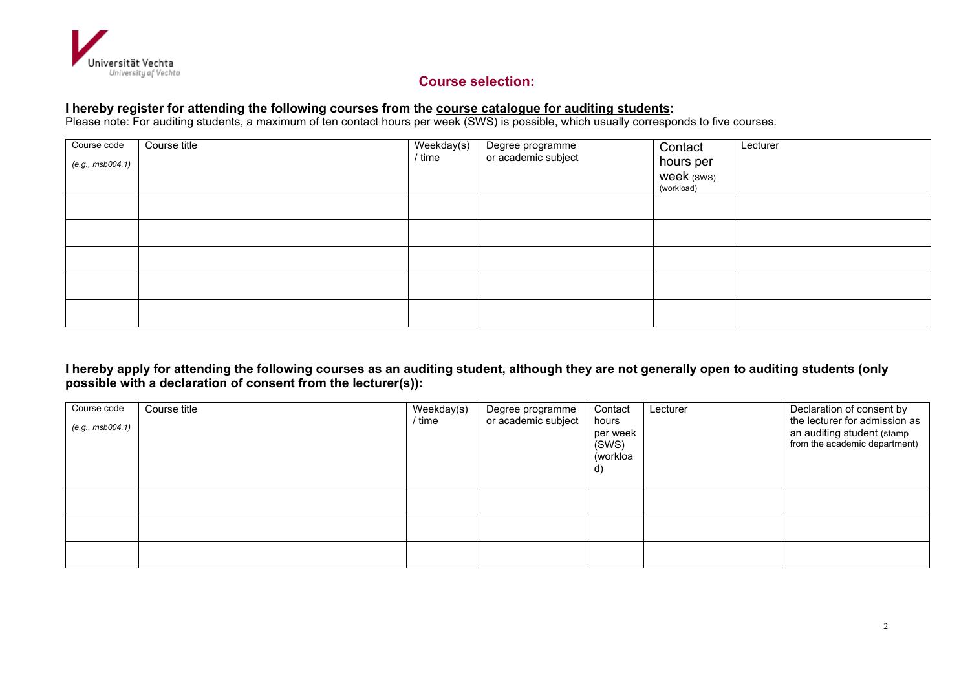

# **Course selection:**

# **I hereby register for attending the following courses from the course catalogue for auditing students:**

Please note: For auditing students, a maximum of ten contact hours per week (SWS) is possible, which usually corresponds to five courses.

| Course code<br>(e.g., msb004.1) | Course title | Weekday(s)<br>/ time | Degree programme<br>or academic subject | Contact<br>hours per<br>week (sws)<br>(workload) | Lecturer |
|---------------------------------|--------------|----------------------|-----------------------------------------|--------------------------------------------------|----------|
|                                 |              |                      |                                         |                                                  |          |
|                                 |              |                      |                                         |                                                  |          |
|                                 |              |                      |                                         |                                                  |          |
|                                 |              |                      |                                         |                                                  |          |
|                                 |              |                      |                                         |                                                  |          |

### **I hereby apply for attending the following courses as an auditing student, although they are not generally open to auditing students (only possible with a declaration of consent from the lecturer(s)):**

| Course code<br>(e.g., msb004.1) | Course title | Weekday(s)<br>/ time | Degree programme<br>or academic subject | Contact<br>hours<br>per week<br>(SWS)<br>(workloa<br>$\mathsf{d}$ | Lecturer | Declaration of consent by<br>the lecturer for admission as<br>an auditing student (stamp<br>from the academic department) |
|---------------------------------|--------------|----------------------|-----------------------------------------|-------------------------------------------------------------------|----------|---------------------------------------------------------------------------------------------------------------------------|
|                                 |              |                      |                                         |                                                                   |          |                                                                                                                           |
|                                 |              |                      |                                         |                                                                   |          |                                                                                                                           |
|                                 |              |                      |                                         |                                                                   |          |                                                                                                                           |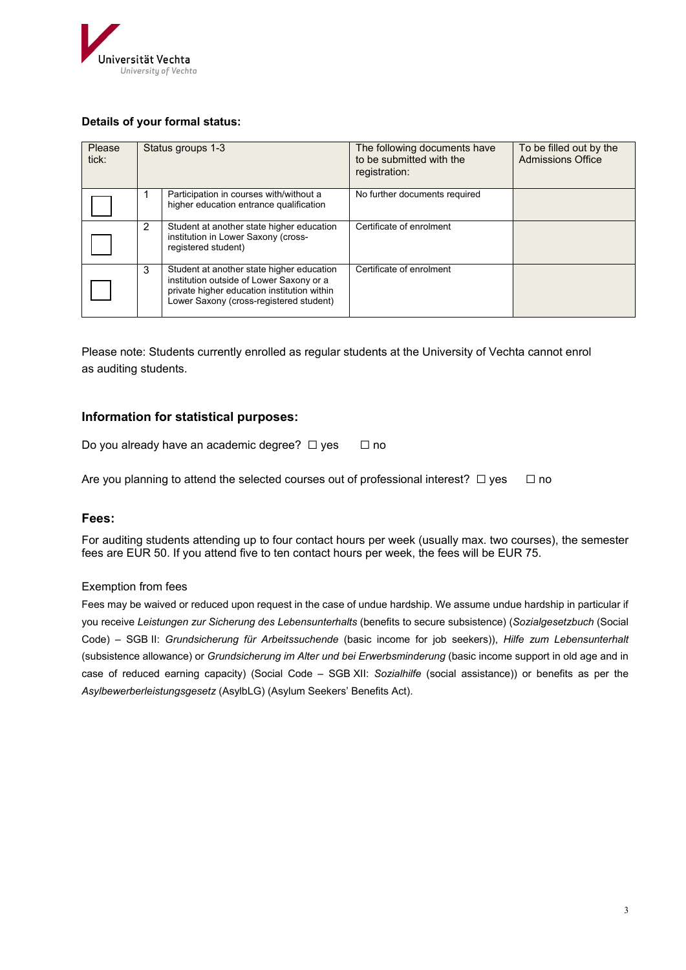

#### **Details of your formal status:**

| Please<br>tick: | Status groups 1-3 |                                                                                                                                                                                 | The following documents have<br>to be submitted with the<br>registration: | To be filled out by the<br><b>Admissions Office</b> |
|-----------------|-------------------|---------------------------------------------------------------------------------------------------------------------------------------------------------------------------------|---------------------------------------------------------------------------|-----------------------------------------------------|
|                 |                   | Participation in courses with/without a<br>higher education entrance qualification                                                                                              | No further documents required                                             |                                                     |
|                 | $\overline{2}$    | Student at another state higher education<br>institution in Lower Saxony (cross-<br>registered student)                                                                         | Certificate of enrolment                                                  |                                                     |
|                 | 3                 | Student at another state higher education<br>institution outside of Lower Saxony or a<br>private higher education institution within<br>Lower Saxony (cross-registered student) | Certificate of enrolment                                                  |                                                     |

Please note: Students currently enrolled as regular students at the University of Vechta cannot enrol as auditing students.

### **Information for statistical purposes:**

Do you already have an academic degree? ☐ yes☐ no

Are you planning to attend the selected courses out of professional interest? □ yes □ no

#### **Fees:**

For auditing students attending up to four contact hours per week (usually max. two courses), the semester fees are EUR 50. If you attend five to ten contact hours per week, the fees will be EUR 75.

#### Exemption from fees

Fees may be waived or reduced upon request in the case of undue hardship. We assume undue hardship in particular if you receive *Leistungen zur Sicherung des Lebensunterhalts* (benefits to secure subsistence) (*Sozialgesetzbuch* (Social Code) – SGB II: *Grundsicherung für Arbeitssuchende* (basic income for job seekers)), *Hilfe zum Lebensunterhalt* (subsistence allowance) or *Grundsicherung im Alter und bei Erwerbsminderung* (basic income support in old age and in case of reduced earning capacity) (Social Code – SGB XII: *Sozialhilfe* (social assistance)) or benefits as per the *Asylbewerberleistungsgesetz* (AsylbLG) (Asylum Seekers' Benefits Act).